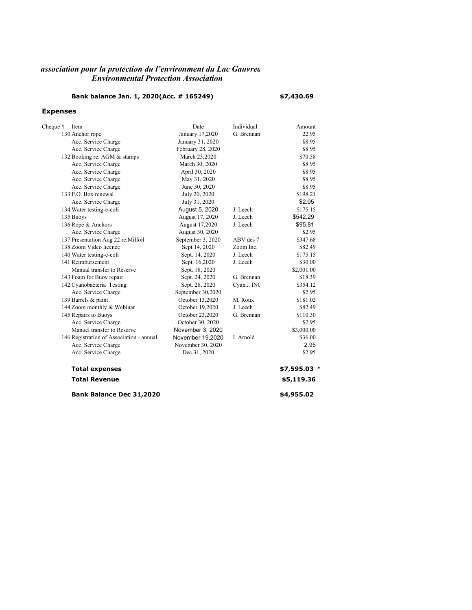### *Environmental Protection Association Lassociation pour la protection du l'environment du Lac Gauvrea*

## **Bank balance Jan. 1, 2020(Acc. # 165249) \$7,430.69**

#### **Expenses**

| Cheque $#$ | Item                                     | Date              | Individual | Amount       |
|------------|------------------------------------------|-------------------|------------|--------------|
|            | 130 Anchor rope                          | January 17,2020   | G. Brennan | 22.95        |
|            | Acc. Service Charge                      | January 31, 2020  |            | \$8.95       |
|            | Acc. Service Charge                      | February 28, 2020 |            | \$8.95       |
|            | 132 Booking re. AGM & stamps             | March 23,2020     |            | \$70.58      |
|            | Acc. Service Charge                      | March 30, 2020    |            | \$8.95       |
|            | Acc, Service Charge                      | April 30, 2020    |            | \$8.95       |
|            | Acc. Service Charge                      | May 31, 2020      |            | \$8.95       |
|            | Acc. Service Charge                      | June 30, 2020     |            | \$8.95       |
|            | 133 P.O. Box renewal                     | July 20, 2020     |            | \$198.21     |
|            | Acc. Service Charge                      | July 31, 2020     |            | \$2.95       |
|            | 134 Water testing-e-coli                 | August 5, 2020    | J. Leech   | \$175.15     |
|            | 135 Buoys                                | August 17, 2020   | J. Leech   | \$542.29     |
|            | 136 Rope & Anchors                       | August 17,2020    | J. Leech   | \$95.81      |
|            | Acc. Service Charge                      | August 30, 2020   |            | \$2.95       |
|            | 137 Presentation Aug 22 re. Milfoil      | September 3, 2020 | ABV des 7  | \$347.68     |
|            | 138 Zoom Video licence                   | Sept 14, 2020     | Zoom Inc.  | \$82.49      |
|            | 140 Water testing-e-coli                 | Sept. 14, 2020    | J. Leech   | \$175.15     |
|            | 141 Reimbursement                        | Sept. 16,2020     | J. Leech   | \$30.00      |
|            | Manual transfer to Reserve               | Sept. 18, 2020    |            | \$2,001.00   |
|            | 143 Foam for Buoy repair                 | Sept. 24, 2020    | G. Brennan | \$18.39      |
|            | 142 Cyanobacteria Testing                | Sept. 28, 2020    | Cyan INC   | \$354.12     |
|            | Acc. Service Charge                      | September 30,2020 |            | \$2.95       |
|            | 139 Barrels & paint                      | October 13,2020   | M. Roux    | \$181.02     |
|            | 144 Zoom monthly & Webinar               | October 19,2020   | J. Leech   | \$82.49      |
|            | 145 Repairs to Buoys                     | October 23,2020   | G. Brennan | \$110.30     |
|            | Acc. Service Charge                      | October 30, 2020  |            | \$2.95       |
|            | Manuel transfer to Reserve               | November 3, 2020  |            | \$3,000.00   |
|            | 146 Registration of Association - annual | November 19,2020  | I. Arnold  | \$36.00      |
|            | Acc. Service Charge                      | November 30, 2020 |            | 2.95         |
|            | Acc. Service Charge                      | Dec.31, 2020      |            | \$2.95       |
|            | <b>Total expenses</b>                    |                   |            | $$7,595.03*$ |
|            | <b>Total Revenue</b>                     |                   |            | \$5,119.36   |
|            | Bank Balance Dec 31,2020                 |                   |            | \$4,955.02   |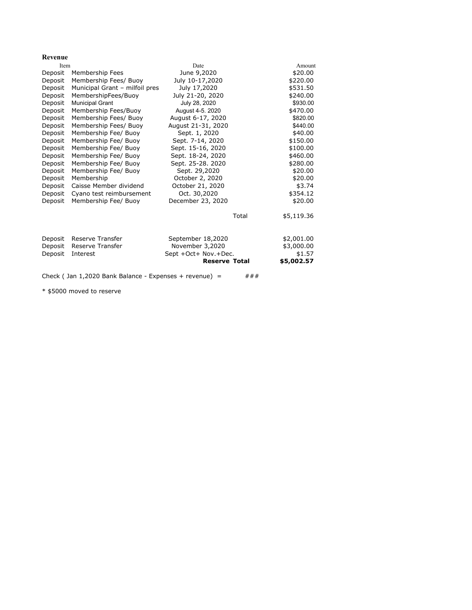#### **Revenue**

| Item    |                                                          | Date                 | Amount     |
|---------|----------------------------------------------------------|----------------------|------------|
| Deposit | Membership Fees                                          | June 9,2020          | \$20.00    |
| Deposit | Membership Fees/ Buoy                                    | July 10-17,2020      | \$220.00   |
| Deposit | Municipal Grant - milfoil pres                           | July 17,2020         | \$531.50   |
| Deposit | MembershipFees/Buoy                                      | July 21-20, 2020     | \$240.00   |
| Deposit | <b>Municipal Grant</b>                                   | July 28, 2020        | \$930.00   |
| Deposit | Membership Fees/Buoy                                     | August 4-5, 2020     | \$470.00   |
| Deposit | Membership Fees/ Buoy                                    | August 6-17, 2020    | \$820.00   |
| Deposit | Membership Fees/ Buoy                                    | August 21-31, 2020   | \$440.00   |
| Deposit | Membership Fee/ Buoy                                     | Sept. 1, 2020        | \$40.00    |
| Deposit | Membership Fee/ Buoy                                     | Sept. 7-14, 2020     | \$150.00   |
| Deposit | Membership Fee/ Buoy                                     | Sept. 15-16, 2020    | \$100.00   |
| Deposit | Membership Fee/ Buoy                                     | Sept. 18-24, 2020    | \$460.00   |
| Deposit | Membership Fee/ Buoy                                     | Sept. 25-28. 2020    | \$280.00   |
| Deposit | Membership Fee/ Buoy                                     | Sept. 29,2020        | \$20.00    |
| Deposit | Membership                                               | October 2, 2020      | \$20.00    |
| Deposit | Caisse Member dividend                                   | October 21, 2020     | \$3.74     |
| Deposit | Cyano test reimbursement                                 | Oct. 30,2020         | \$354.12   |
| Deposit | Membership Fee/ Buoy                                     | December 23, 2020    | \$20.00    |
|         |                                                          | Total                | \$5,119.36 |
| Deposit | Reserve Transfer                                         | September 18,2020    | \$2,001.00 |
| Deposit | Reserve Transfer                                         | November 3,2020      | \$3,000.00 |
| Deposit | Interest                                                 | Sept +Oct+ Nov.+Dec. | \$1.57     |
|         |                                                          | <b>Reserve Total</b> | \$5,002.57 |
|         |                                                          |                      |            |
|         | Check (Jan $1,2020$ Bank Balance - Expenses + revenue) = |                      | ###        |

\* \$5000 moved to reserve